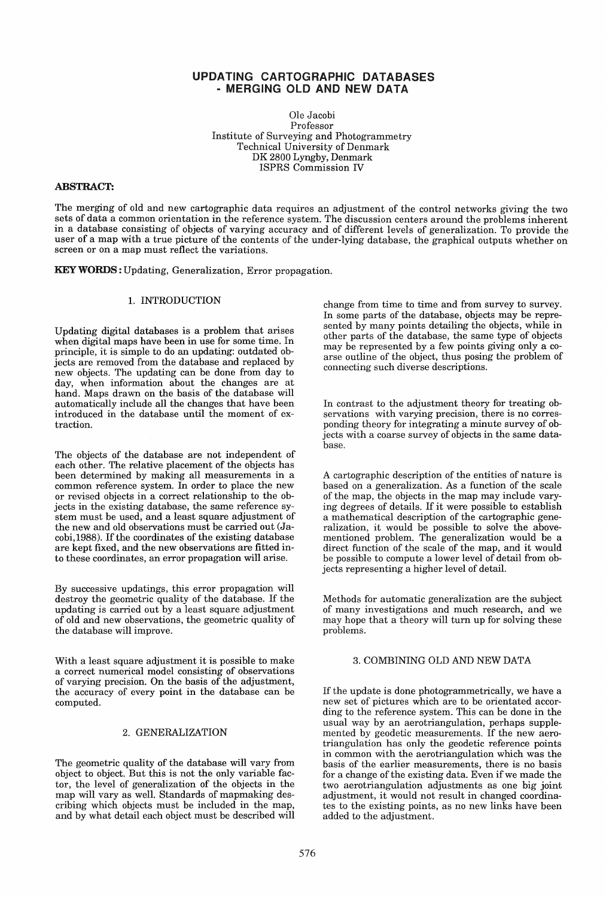# UPDATING CARTOGRAPHIC DATABASES - MERGING OLD AND NEW DATA

Ole Jacobi Professor Institute of Surveying and Photogrammetry Technical University of Denmark DK 2800 Lyngby, Denmark ISPRS Commission IV

#### ABSTRACT:

The merging of old and new cartographic data requires an adjustment of the control networks giving the two sets of data a common orientation in the reference system. The discussion centers around the problems inherent in a database consisting of objects of varying accuracy and of different levels of generalization. To provide the user of a map with a true picture of the contents of the under-lying database, the graphical outputs whether on screen or on a map must reflect the variations.

KEYWORDS: Updating, Generalization, Error propagation.

#### 1. INTRODUCTION

Updating digital databases is a problem that arises when digital maps have been in use for some time. In principle, it is simple to do an updating: outdated objects are removed from the database and replaced by new objects. The updating can be done from day to day, when information about the changes are at hand. Maps drawn on the basis of the database will automatically include all the changes that have been introduced in the database until the moment of extraction.

The objects of the database are not independent of each other. The relative placement of the objects has been determined by making all measurements in a common reference system. In order to place the new or revised objects in a correct relationship to the objects in the existing database, the same reference system must be used, and a least square adjustment of the new and old observations must be carried out (Jacobi,19BB). If the coordinates of the existing database are kept fixed, and the new observations are fitted into these coordinates, an error propagation will arise.

By successive updatings, this error propagation will destroy the geometric quality of the database. If the updating is carried out by a least square adjustment of old and new observations, the geometric quality of the database will improve.

With a least square adjustment it is possible to make a correct numerical model consisting of observations of varying precision. On the basis of the adjustment, the accuracy of every point in the database can be computed.

## 2. GENERALIZATION

The geometric quality of the database will vary from object to object. But this is not the only variable factor, the level of generalization of the objects in the map will vary as well. Standards of mapmaking describing which objects must be included in the map, and by what detail each object must be described will change from time to time and from survey to survey. In some parts of the database, objects may be represented by many points detailing the objects, while in other parts of the database, the same type of objects may be represented by a few points giving only a coarse outline of the object, thus posing the problem of connecting such diverse descriptions.

In contrast to the adjustment theory for treating observations with varying precision, there is no corresponding theory for integrating a minute survey of objects with a coarse survey of objects in the same database.

A cartographic description of the entities of nature is based on a generalization. As a function of the scale of the map, the objects in the map may include varying degrees of details. If it were possible to establish a mathematical description of the cartographic generalization, it would be possible to solve the abovementioned problem. The generalization would be a direct function of the scale of the map, and it would be possible to compute a lower level of detail from objects representing a higher level of detail.

Methods for automatic generalization are the subject of many investigations and much research, and we may hope that a theory will turn up for solving these problems.

## 3. COMBINING OLD AND NEW DATA

If the update is done photogrammetrically, we have a new set of pictures which are to be orientated according to the reference system. This can be done in the usual way by an aerotriangulation, perhaps supplemented by geodetic measurements. If the new aerotriangulation has only the geodetic reference points in common with the aerotriangulation which was the basis of the earlier measurements, there is no basis for a change of the existing data. Even if we made the two aerotriangulation adjustments as one big joint adjustment, it would not result in changed coordinates to the existing points, as no new links have been added to the adjustment.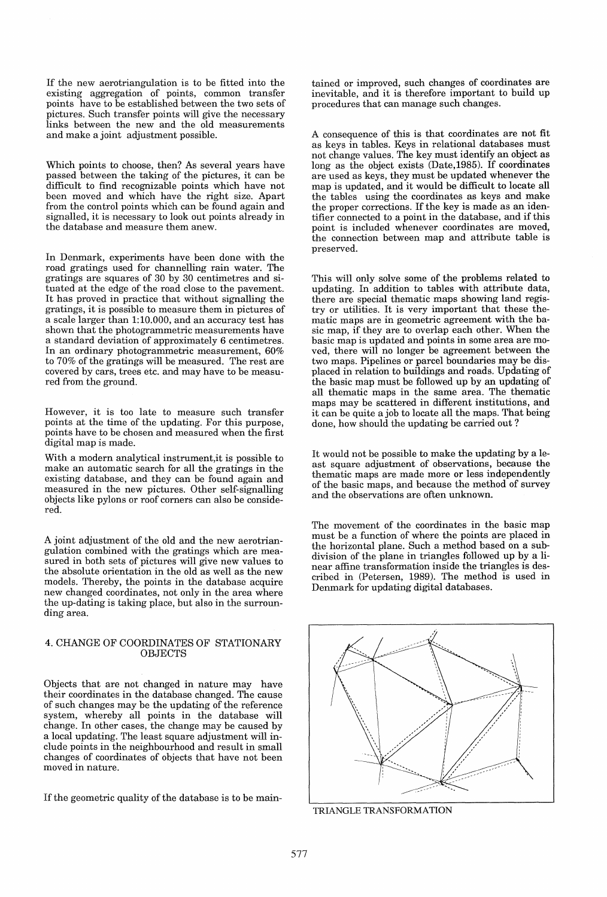If the new aerotriangulation is to be fitted into the existing aggregation of points, common transfer points have to be established between the two sets of pictures. Such transfer points will give the necessary links between the new and the old measurements and make a joint adjustment possible.

Which points to choose, then? As several years have passed between the taking of the pictures, it can be difficult to find recognizable points which have not been moved and which have the right size. Apart from the control points which can be found again and signalled, it is necessary to look out points already in the database and measure them anew.

In Denmark, experiments have been done with the road gratings used for channelling rain water. The gratings are squares of 30 by 30 centimetres and situated at the edge of the road close to the pavement. It has proved in practice that without signalling the gratings, it is possible to measure them in pictures of a scale larger than 1:10.000, and an accuracy test has shown that the photogrammetric measurements have a standard deviation of approximately 6 centimetres. In an ordinary photogrammetric measurement, 60% to 70% of the gratings will be measured. The rest are covered by cars, trees etc. and may have to be measured from the ground.

However, it is too late to measure such transfer points at the time of the updating. For this purpose, points have to be chosen and measured when the first digital map is made.

With a modern analytical instrument,it is possible to make an automatic search for all the gratings in the existing database, and they can be found again and measured in the new pictures. Other self-signalling objects like pylons or roof corners can also be considered.

A joint adjustment of the old and the new aerotriangulation combined with the gratings which are measured in both sets of pictures will give new values to the absolute orientation in the old as well as the new models. Thereby, the points in the database acquire new changed coordinates, not only in the area where the up-dating is taking place, but also in the surrounding area.

## 4. CHANGE OF COORDINATES OF STATIONARY OBJECTS

Objects that are not changed in nature may have their coordinates in the database changed. The cause of such changes may be the updating of the reference system, whereby all points in the database will change. In other cases, the change may be caused by a local updating. The least square adjustment will include points in the neighbourhood and result in small changes of coordinates of objects that have not been moved in nature.

If the geometric quality of the database is to be main-

tained or improved, such changes of coordinates are inevitable, and it is therefore important to build up procedures that can manage such changes.

A consequence of this is that coordinates are not fit as keys in tables. Keys in relational databases must not change values. The key must identify an object as long as the object exists (Date,1985). If coordinates are used as keys, they must be updated whenever the map is updated, and it would be difficult to locate all the tables using the coordinates as keys and make the proper corrections. If the key is made as an identifier connected to a point in the database, and if this point is included whenever coordinates are moved, the connection between map and attribute table is preserved.

This will only solve some of the problems related to updating. In addition to tables with attribute data, there are special thematic maps showing land registry or utilities. It is very important that these thematic maps are in geometric agreement with the basic map, if they are to overlap each other. When the basic map is updated and points in some area are moved, there will no longer be agreement between the two maps. Pipelines or parcel boundaries may be displaced in relation to buildings and roads. Updating of the basic map must be followed up by an updating of all thematic maps in the same area. The thematic maps may be scattered in different institutions, and it can be quite a job to locate all the maps. That being done, how should the updating be carried out?

It would not be possible to make the updating by a least square adjustment of observations, because the thematic maps are made more or less independently of the basic maps, and because the method of survey and the observations are often unknown.

The movement of the coordinates in the basic map must be a function of where the points are placed in the horizontal plane. Such a method based on a subdivision of the plane in triangles followed up by a linear affine transformation inside the triangles is described in (Petersen, 1989). The method is used in Denmark for updating digital databases.



TRIANGLE TRANSFORMATION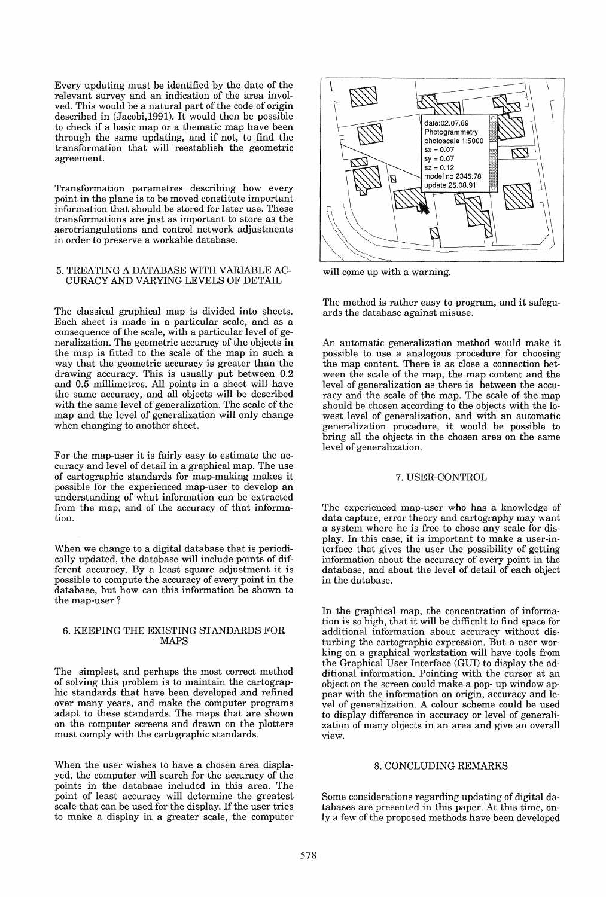Every updating must be identified by the date of the relevant survey and an indication of the area involved. This would be a natural part of the code of origin described in (Jacobi,1991). It would then be possible to check if a basic map or a thematic map have been through the same updating, and if not, to find the transformation that will reestablish the geometric agreement.

Transformation parametres describing how every point in the plane is to be moved constitute important information that should be stored for later use. These transformations are just as important to store as the aerotriangulations and control network adjustments in order to preserve a workable database.

#### 5. TREATING A DATABASE WITH VARIABLE AC-CURACY AND VARYING LEVELS OF DETAIL

The classical graphical map is divided into sheets. Each sheet is made in a particular scale, and as a consequence of the scale, with a particular level of generalization. The geometric accuracy of the objects in the map is fitted to the scale of the map in such a way that the geometric accuracy is greater than the drawing accuracy. This is usually put between 0.2 and 0.5 millimetres. All points in a sheet will have the same accuracy, and all objects will be described with the same level of generalization. The scale of the map and the level of generalization will only change when changing to another sheet.

For the map-user it is fairly easy to estimate the accuracy and level of detail in a graphical map. The use of cartographic standards for map-making makes it possible for the experienced map-user to develop an understanding of what information can be extracted from the map, and of the accuracy of that information.

When we change to a digital database that is periodically updated, the database will include points of different accuracy. By a least square adjustment it is possible to compute the accuracy of every point in the database, but how can this information be shown to the map-user?

#### 6. KEEPING THE EXISTING STANDARDS FOR MAPS

The simplest, and perhaps the most correct method of solving this problem is to maintain the cartographic standards that have been developed and refined over many years, and make the computer programs adapt to these standards. The maps that are shown on the computer screens and drawn on the plotters must comply with the cartographic standards.

When the user wishes to have a chosen area displayed, the computer will search for the accuracy of the points in the database included in this area. The point of least accuracy will determine the greatest scale that can be used for the display. If the user tries to make a display in a greater scale, the computer



will come up with a warning.

The method is rather easy to program, and it safeguards the database against misuse.

An automatic generalization method would make it possible to use a analogous procedure for choosing the map content. There is as close a connection between the scale of the map, the map content and the level of generalization as there is between the accuracy and the scale of the map. The scale of the map should be chosen according to the objects with the lowest level of generalization, and with an automatic generalization procedure, it would be possible to bring all the objects in the chosen area on the same level of generalization.

## 7. USER-CONTROL

The experienced map-user who has a knowledge of data capture, error theory and cartography may want a system where he is free to chose any scale for display. In this case, it is important to make a user-interface that gives the user the possibility of getting information about the accuracy of every point in the database, and about the level of detail of each object in the database.

In the graphical map, the concentration of information is so high, that it will be difficult to find space for additional information about accuracy without disturbing the cartographic expression. But a user working on a graphical workstation will have tools from the Graphical User Interface (GUI) to display the additional information. Pointing with the cursor at an object on the screen could make a pop- up window appear with the information on origin, accuracy and level of generalization. A colour scheme could be used to display difference in accuracy or level of generalization of many objects in an area and give an overall view.

#### 8. CONCLUDING REMARKS

Some considerations regarding updating of digital databases are presented in this paper. At this time, only a few of the proposed methods have been developed